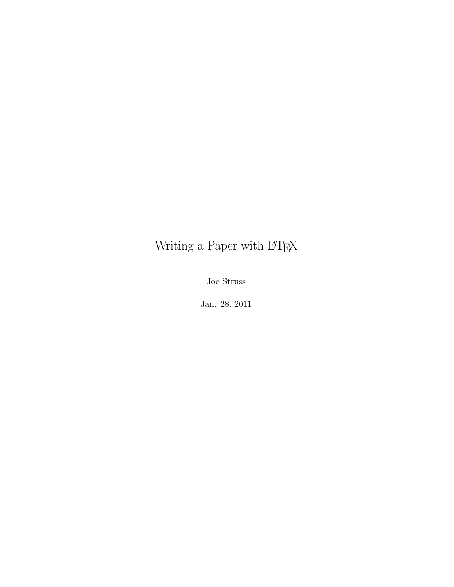# Writing a Paper with  $\rm \emph{LPTEX}$

Joe Struss

Jan. 28, 2011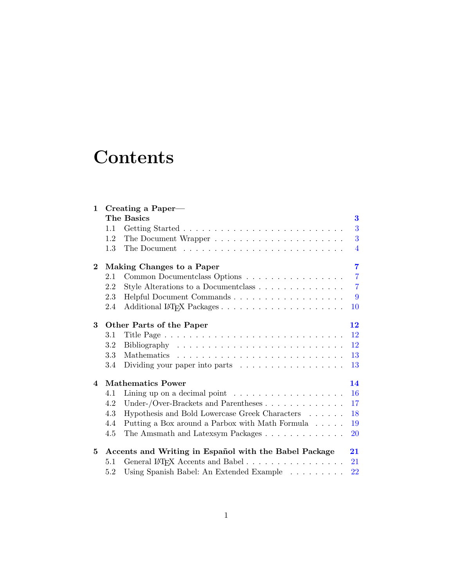# **Contents**

| $\mathbf{1}$    |               | Creating a Paper—                                                        |                |
|-----------------|---------------|--------------------------------------------------------------------------|----------------|
|                 |               | The Basics                                                               | 3              |
|                 | 1.1           |                                                                          | 3              |
|                 | 1.2           |                                                                          | 3              |
|                 | $1.3^{\circ}$ |                                                                          | $\overline{4}$ |
| $\mathbf 2$     |               | Making Changes to a Paper                                                | $\overline{7}$ |
|                 | 2.1           | Common Document class Options                                            | $\overline{7}$ |
|                 | 2.2           | Style Alterations to a Document class                                    | $\overline{7}$ |
|                 | 2.3           |                                                                          | -9             |
|                 | 2.4           |                                                                          | 10             |
| 3               |               | Other Parts of the Paper                                                 | 12             |
|                 | 3.1           |                                                                          | 12             |
|                 | $3.2\,$       |                                                                          | 12             |
|                 | 3.3           |                                                                          | 13             |
|                 | 3.4           | Dividing your paper into parts $\dots \dots \dots \dots \dots \dots$     | 13             |
| $\overline{4}$  |               | <b>Mathematics Power</b>                                                 | 14             |
|                 | 4.1           | Lining up on a decimal point $\ldots \ldots \ldots \ldots \ldots \ldots$ | 16             |
|                 | 4.2           | Under-/Over-Brackets and Parentheses $\dots \dots \dots \dots$           | 17             |
|                 | 4.3           | Hypothesis and Bold Lowercase Greek Characters                           | 18             |
|                 | 4.4           | Putting a Box around a Parbox with Math Formula                          | 19             |
|                 | 4.5           | The Amsmath and Latexsym Packages                                        | <b>20</b>      |
| $5\phantom{.0}$ |               | Accents and Writing in Español with the Babel Package                    | 21             |
|                 | 5.1           | General LATFX Accents and Babel                                          | 21             |
|                 | 5.2           | Using Spanish Babel: An Extended Example                                 | 22             |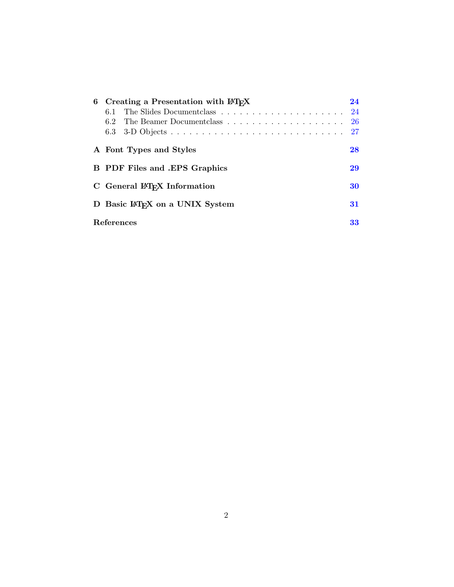| 6 Creating a Presentation with LAT <sub>F</sub> X |    |  |  |  |
|---------------------------------------------------|----|--|--|--|
|                                                   |    |  |  |  |
| 62                                                | 26 |  |  |  |
| 6.3                                               | 27 |  |  |  |
| A Font Types and Styles                           | 28 |  |  |  |
| <b>B</b> PDF Files and .EPS Graphics              |    |  |  |  |
| C General LAT <sub>F</sub> X Information          |    |  |  |  |
| D Basic LAT <sub>F</sub> X on a UNIX System       |    |  |  |  |
| References<br>33                                  |    |  |  |  |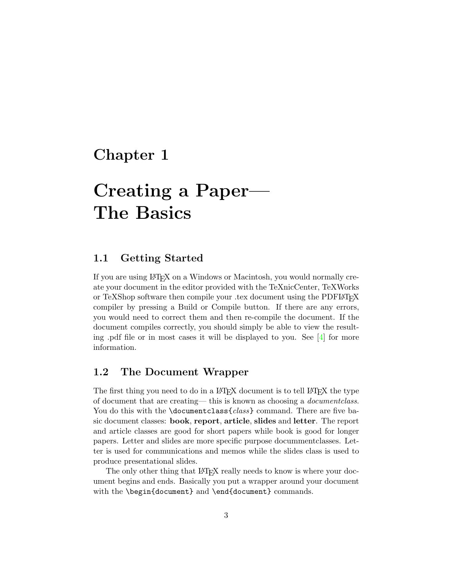# <span id="page-3-0"></span>Chapter 1

# Creating a Paper— The Basics

## <span id="page-3-1"></span>1.1 Getting Started

If you are using LATEX on a Windows or Macintosh, you would normally create your document in the editor provided with the TeXnicCenter, TeXWorks or TeXShop software then compile your .tex document using the PDFLATEX compiler by pressing a Build or Compile button. If there are any errors, you would need to correct them and then re-compile the document. If the document compiles correctly, you should simply be able to view the resulting .pdf file or in most cases it will be displayed to you. See [\[4\]](#page-33-1) for more information.

### <span id="page-3-2"></span>1.2 The Document Wrapper

The first thing you need to do in a LAT<sub>EX</sub> document is to tell LAT<sub>EX</sub> the type of document that are creating— this is known as choosing a documentclass. You do this with the \documentclass{class} command. There are five basic document classes: book, report, article, slides and letter. The report and article classes are good for short papers while book is good for longer papers. Letter and slides are more specific purpose docummentclasses. Letter is used for communications and memos while the slides class is used to produce presentational slides.

The only other thing that LAT<sub>EX</sub> really needs to know is where your document begins and ends. Basically you put a wrapper around your document with the \begin{document} and \end{document} commands.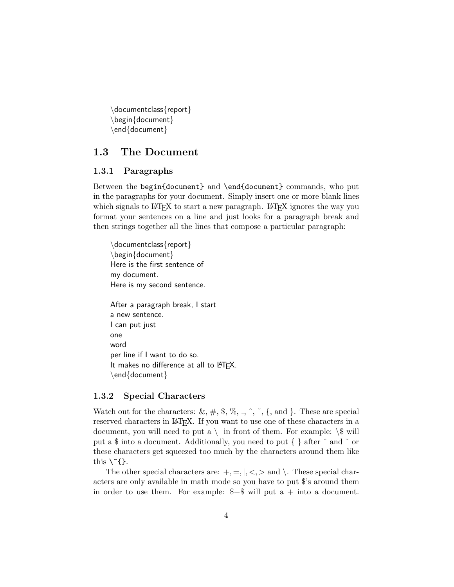\documentclass{report} \begin{document} \end{document}

### <span id="page-4-0"></span>1.3 The Document

### 1.3.1 Paragraphs

Between the begin{document} and \end{document} commands, who put in the paragraphs for your document. Simply insert one or more blank lines which signals to LATEX to start a new paragraph. LATEX ignores the way you format your sentences on a line and just looks for a paragraph break and then strings together all the lines that compose a particular paragraph:

\documentclass{report} \begin{document} Here is the first sentence of my document. Here is my second sentence.

After a paragraph break, I start a new sentence. I can put just one word per line if I want to do so. It makes no difference at all to LATFX. \end{document}

### 1.3.2 Special Characters

Watch out for the characters:  $\&$ ,  $\#$ ,  $\$, \%,$ ,  $\hat{\ }$ ,  $\hat{\ }$ ,  $\{$ , and  $\}$ . These are special reserved characters in LAT<sub>EX</sub>. If you want to use one of these characters in a document, you will need to put a  $\langle \rangle$  in front of them. For example:  $\langle \$  will put a \$ into a document. Additionally, you need to put { } after ˆ and ˜ or these characters get squeezed too much by the characters around them like this  $\Upsilon$ {}.

The other special characters are:  $+, =, \vert, \langle, \rangle$  and  $\langle$ . These special characters are only available in math mode so you have to put \$'s around them in order to use them. For example:  $\frac{1}{5}$  will put a + into a document.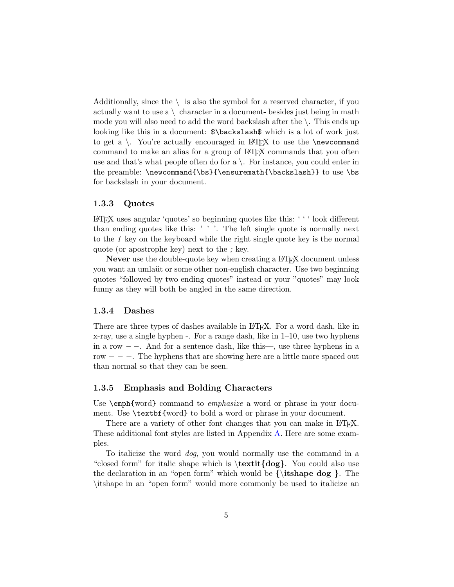Additionally, since the  $\setminus$  is also the symbol for a reserved character, if you actually want to use  $a \setminus$  character in a document- besides just being in math mode you will also need to add the word backslash after the  $\setminus$ . This ends up looking like this in a document:  $\backslash$ backslash\$ which is a lot of work just to get a  $\backslash$ . You're actually encouraged in LAT<sub>F</sub>X to use the  $\newcommand{\solAvar}{{\tilde{\solA}}(X)}$ command to make an alias for a group of LATEX commands that you often use and that's what people often do for a  $\setminus$ . For instance, you could enter in the preamble: \newcommand{\bs}{\ensuremath{\backslash}} to use \bs for backslash in your document.

### 1.3.3 Quotes

LATEX uses angular 'quotes' so beginning quotes like this: ' ' ' look different than ending quotes like this: ' ' '. The left single quote is normally next to the 1 key on the keyboard while the right single quote key is the normal quote (or apostrophe key) next to the ; key.

Never use the double-quote key when creating a LAT<sub>EX</sub> document unless you want an umlaüt or some other non-english character. Use two beginning quotes "followed by two ending quotes" instead or your "quotes" may look funny as they will both be angled in the same direction.

#### 1.3.4 Dashes

There are three types of dashes available in LAT<sub>E</sub>X. For a word dash, like in x-ray, use a single hyphen -. For a range dash, like in 1–10, use two hyphens in a row − −. And for a sentence dash, like this—, use three hyphens in a row  $-$  −  $-$ . The hyphens that are showing here are a little more spaced out than normal so that they can be seen.

### 1.3.5 Emphasis and Bolding Characters

Use \emph{word} command to *emphasize* a word or phrase in your document. Use \textbf{word} to bold a word or phrase in your document.

There are a variety of other font changes that you can make in LAT<sub>EX</sub>. These additional font styles are listed in Appendix [A.](#page-28-0) Here are some examples.

To italicize the word dog, you would normally use the command in a "closed form" for italic shape which is  $\text{dog}$ . You could also use the declaration in an "open form" which would be  ${\it \tilde{th}}$  and  ${\it \tilde{th}}$ . The \itshape in an "open form" would more commonly be used to italicize an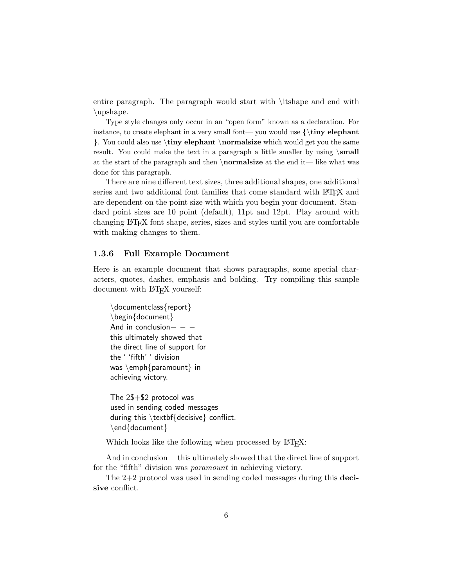entire paragraph. The paragraph would start with \itshape and end with \upshape.

Type style changes only occur in an "open form" known as a declaration. For instance, to create elephant in a very small font— you would use  $\{\tiny \}$  leiphant }. You could also use \tiny elephant \normalsize which would get you the same result. You could make the text in a paragraph a little smaller by using  $\mathrm{small}$ at the start of the paragraph and then \normalsize at the end it— like what was done for this paragraph.

There are nine different text sizes, three additional shapes, one additional series and two additional font families that come standard with LAT<sub>EX</sub> and are dependent on the point size with which you begin your document. Standard point sizes are 10 point (default), 11pt and 12pt. Play around with changing LATEX font shape, series, sizes and styles until you are comfortable with making changes to them.

#### 1.3.6 Full Example Document

Here is an example document that shows paragraphs, some special characters, quotes, dashes, emphasis and bolding. Try compiling this sample document with LAT<sub>EX</sub> yourself:

\documentclass{report} \begin{document} And in conclusion $- -$ this ultimately showed that the direct line of support for the ' 'fifth' ' division was \emph{paramount} in achieving victory.

The 2\$+\$2 protocol was used in sending coded messages during this \textbf{decisive} conflict. \end{document}

Which looks like the following when processed by LAT<sub>EX</sub>:

And in conclusion— this ultimately showed that the direct line of support for the "fifth" division was *paramount* in achieving victory.

The  $2+2$  protocol was used in sending coded messages during this **deci**sive conflict.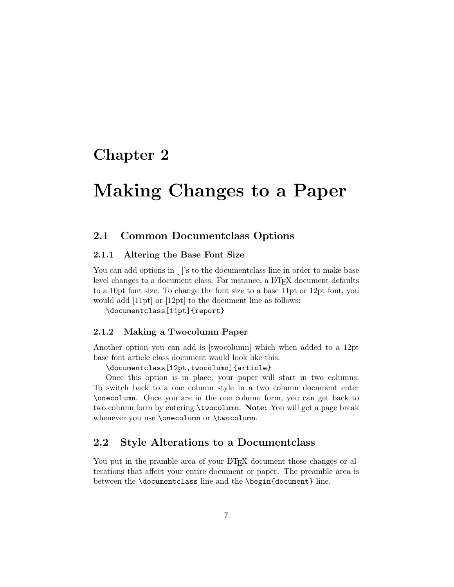# <span id="page-7-0"></span>Chapter 2

# Making Changes to a Paper

### <span id="page-7-1"></span>2.1 Common Documentclass Options

### 2.1.1 Altering the Base Font Size

You can add options in  $\vert \cdot \vert$ 's to the document class line in order to make base level changes to a document class. For instance, a L<sup>AT</sup>FX document defaults to a 10pt font size. To change the font size to a base 11pt or 12pt font, you would add [11pt] or [12pt] to the document line as follows:

\documentclass[11pt]{report}

### 2.1.2 Making a Twocolumn Paper

Another option you can add is [twocolumn] which when added to a 12pt base font article class document would look like this:

\documentclass[12pt,twocolumn]{article}

Once this option is in place, your paper will start in two columns. To switch back to a one column style in a two column document enter \onecolumn. Once you are in the one column form, you can get back to two column form by entering \twocolumn. Note: You will get a page break whenever you use \onecolumn or \twocolumn.

### <span id="page-7-2"></span>2.2 Style Alterations to a Documentclass

You put in the pramble area of your LAT<sub>EX</sub> document those changes or alterations that affect your entire document or paper. The preamble area is between the \documentclass line and the \begin{document} line.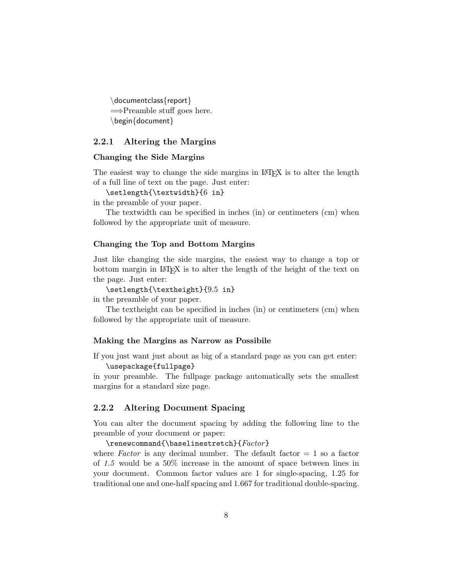\documentclass{report} =⇒Preamble stuff goes here. \begin{document}

### 2.2.1 Altering the Margins

#### Changing the Side Margins

The easiest way to change the side margins in L<sup>AT</sup>EX is to alter the length of a full line of text on the page. Just enter:

\setlength{\textwidth}{6 in}

in the preamble of your paper.

The textwidth can be specified in inches (in) or centimeters (cm) when followed by the appropriate unit of measure.

#### Changing the Top and Bottom Margins

Just like changing the side margins, the easiest way to change a top or bottom margin in LAT<sub>E</sub>X is to alter the length of the height of the text on the page. Just enter:

\setlength{\textheight}{9.5 in}

in the preamble of your paper.

The textheight can be specified in inches (in) or centimeters (cm) when followed by the appropriate unit of measure.

#### Making the Margins as Narrow as Possibile

If you just want just about as big of a standard page as you can get enter: \usepackage{fullpage}

in your preamble. The fullpage package automatically sets the smallest margins for a standard size page.

### 2.2.2 Altering Document Spacing

You can alter the document spacing by adding the following line to the preamble of your document or paper:

\renewcommand{\baselinestretch}{Factor}

where Factor is any decimal number. The default factor  $= 1$  so a factor of 1.5 would be a 50% increase in the amount of space between lines in your document. Common factor values are 1 for single-spacing, 1.25 for traditional one and one-half spacing and 1.667 for traditional double-spacing.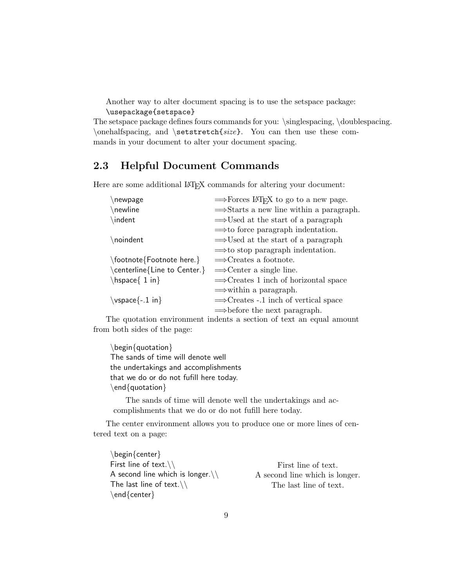Another way to alter document spacing is to use the setspace package: \usepackage{setspace}

The setspace package defines fours commands for you: \singlespacing, \doublespacing.  $\onumber \{\n one half spacing, and \n *setstretch size*. You can then use these com$ mands in your document to alter your document spacing.

## <span id="page-9-0"></span>2.3 Helpful Document Commands

Here are some additional LAT<sub>EX</sub> commands for altering your document:

| $\Rightarrow$ Forces LAT <sub>F</sub> X to go to a new page. |
|--------------------------------------------------------------|
| $\Rightarrow$ Starts a new line within a paragraph.          |
| $\Rightarrow$ Used at the start of a paragraph               |
| $\Rightarrow$ to force paragraph indentation.                |
| $\Rightarrow$ Used at the start of a paragraph               |
| $\Rightarrow$ to stop paragraph indentation.                 |
| $\Longrightarrow$ Creates a footnote.                        |
| $\Rightarrow$ Center a single line.                          |
| $\Rightarrow$ Creates 1 inch of horizontal space             |
| $\Rightarrow$ within a paragraph.                            |
| $\Rightarrow$ Creates -.1 inch of vertical space             |
| $\Rightarrow$ before the next paragraph.                     |
|                                                              |

The quotation environment indents a section of text an equal amount from both sides of the page:

\begin{quotation} The sands of time will denote well the undertakings and accomplishments that we do or do not fufill here today. \end{quotation}

The sands of time will denote well the undertakings and accomplishments that we do or do not fufill here today.

The center environment allows you to produce one or more lines of centered text on a page:

\begin{center} First line of text. $\setminus$ A second line which is longer. $\setminus\setminus$ The last line of text. $\setminus$ \end{center}

First line of text. A second line which is longer. The last line of text.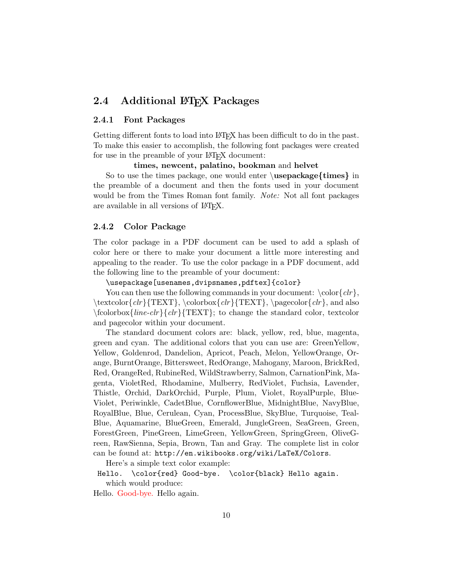## <span id="page-10-0"></span>2.4 Additional LAT<sub>EX</sub> Packages

### 2.4.1 Font Packages

Getting different fonts to load into LATEX has been difficult to do in the past. To make this easier to accomplish, the following font packages were created for use in the preamble of your LAT<sub>EX</sub> document:

times, newcent, palatino, bookman and helvet

So to use the times package, one would enter  $\text{uspackage}\{times\}$  in the preamble of a document and then the fonts used in your document would be from the Times Roman font family. Note: Not all font packages are available in all versions of LATEX.

#### 2.4.2 Color Package

The color package in a PDF document can be used to add a splash of color here or there to make your document a little more interesting and appealing to the reader. To use the color package in a PDF document, add the following line to the preamble of your document:

\usepackage[usenames,dvipsnames,pdftex]{color}

You can then use the following commands in your document:  $\color{red}\cosh\{clr\}$ , \textcolor{clr}{TEXT}, \colorbox{clr}{TEXT}, \pagecolor{clr}, and also  $\{\frac{line-chr}{Gr}\$ TEXT $\}$ ; to change the standard color, textcolor and pagecolor within your document.

The standard document colors are: black, yellow, red, blue, magenta, green and cyan. The additional colors that you can use are: GreenYellow, Yellow, Goldenrod, Dandelion, Apricot, Peach, Melon, YellowOrange, Orange, BurntOrange, Bittersweet, RedOrange, Mahogany, Maroon, BrickRed, Red, OrangeRed, RubineRed, WildStrawberry, Salmon, CarnationPink, Magenta, VioletRed, Rhodamine, Mulberry, RedViolet, Fuchsia, Lavender, Thistle, Orchid, DarkOrchid, Purple, Plum, Violet, RoyalPurple, Blue-Violet, Periwinkle, CadetBlue, CornflowerBlue, MidnightBlue, NavyBlue, RoyalBlue, Blue, Cerulean, Cyan, ProcessBlue, SkyBlue, Turquoise, Teal-Blue, Aquamarine, BlueGreen, Emerald, JungleGreen, SeaGreen, Green, ForestGreen, PineGreen, LimeGreen, YellowGreen, SpringGreen, OliveGreen, RawSienna, Sepia, Brown, Tan and Gray. The complete list in color can be found at: http://en.wikibooks.org/wiki/LaTeX/Colors.

Here's a simple text color example:

Hello. \color{red} Good-bye. \color{black} Hello again. which would produce:

Hello. Good-bye. Hello again.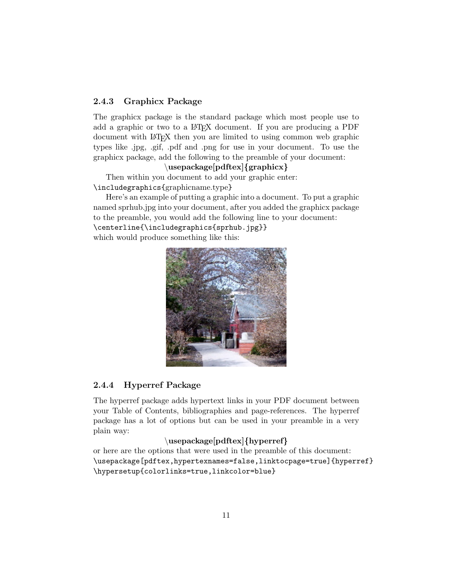### 2.4.3 Graphicx Package

The graphicx package is the standard package which most people use to add a graphic or two to a LATEX document. If you are producing a PDF document with LATEX then you are limited to using common web graphic types like .jpg, .gif, .pdf and .png for use in your document. To use the graphicx package, add the following to the preamble of your document:

### \usepackage[pdftex]{graphicx}

Then within you document to add your graphic enter: \includegraphics{graphicname.type}

Here's an example of putting a graphic into a document. To put a graphic named sprhub.jpg into your document, after you added the graphicx package to the preamble, you would add the following line to your document: \centerline{\includegraphics{sprhub.jpg}} which would produce something like this:



### 2.4.4 Hyperref Package

The hyperref package adds hypertext links in your PDF document between your Table of Contents, bibliographies and page-references. The hyperref package has a lot of options but can be used in your preamble in a very plain way:

### \usepackage[pdftex]{hyperref}

or here are the options that were used in the preamble of this document: \usepackage[pdftex,hypertexnames=false,linktocpage=true]{hyperref} \hypersetup{colorlinks=true,linkcolor=blue}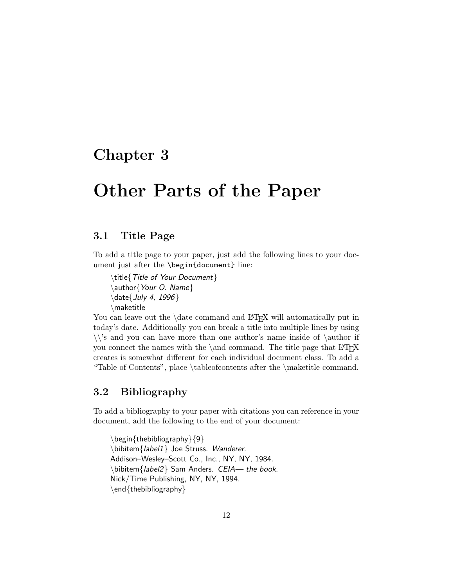## <span id="page-12-0"></span>Chapter 3

# Other Parts of the Paper

### <span id="page-12-1"></span>3.1 Title Page

To add a title page to your paper, just add the following lines to your document just after the \begin{document} line:

\title{Title of Your Document} \author{Your O. Name} \date{July 4, 1996} \maketitle

You can leave out the \date command and LAT<sub>EX</sub> will automatically put in today's date. Additionally you can break a title into multiple lines by using  $\setminus$ 's and you can have more than one author's name inside of  $\author$ you connect the names with the  $\land$  command. The title page that LATEX creates is somewhat different for each individual document class. To add a "Table of Contents", place \tableofcontents after the \maketitle command.

## <span id="page-12-2"></span>3.2 Bibliography

To add a bibliography to your paper with citations you can reference in your document, add the following to the end of your document:

\begin{thebibliography}{9} \bibitem{label1} Joe Struss. Wanderer. Addison–Wesley–Scott Co., Inc., NY, NY, 1984. \bibitem{label2} Sam Anders. CEIA— the book. Nick/Time Publishing, NY, NY, 1994. \end{thebibliography}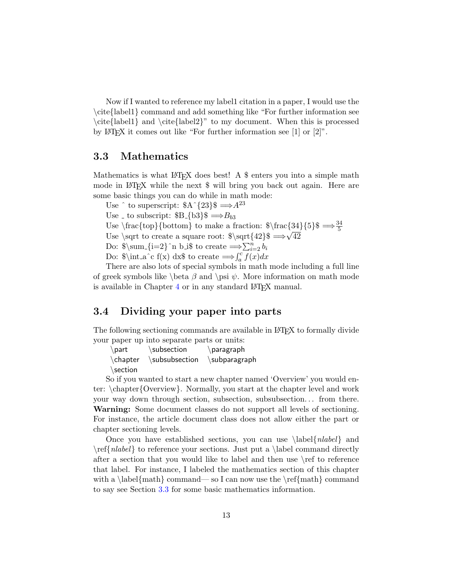Now if I wanted to reference my label1 citation in a paper, I would use the \cite{label1} command and add something like "For further information see \cite{label1} and \cite{label2}" to my document. When this is processed by LAT<sub>E</sub>X it comes out like "For further information see  $[1]$  or  $[2]$ ".

### <span id="page-13-0"></span>3.3 Mathematics

Mathematics is what  $\mathbb{A}$ F<sub>E</sub>X does best! A \$ enters you into a simple math mode in LAT<sub>EX</sub> while the next \$ will bring you back out again. Here are some basic things you can do while in math mode:

Use  $\hat{ }$  to superscript:  $A^{3}$ {23}\$  $\Longrightarrow$   $A^{23}$ 

Use to subscript:  $B_{8} \rightarrow B_{b3}$ 

Use  $\frac{\text{top}}{\text{bottom}}$  to make a fraction:  $\frac{34}{5}$   $\Rightarrow \frac{34}{5}$ 

Use \sqrt to create a square root:  $\sqrt{42}\$   $\Rightarrow \sqrt{42}$ 

Do:  $\sum_{i=2}^n b_i$  to create  $\Longrightarrow \sum_{i=2}^n b_i$ 

Do:  $\int_a^c f(x) dx$  to create  $\implies \int_a^c f(x) dx$ 

There are also lots of special symbols in math mode including a full line of greek symbols like \beta  $\beta$  and \psi  $\psi$ . More information on math mode is available in Chapter  $4$  or in any standard L<sup>AT</sup>FX manual.

### <span id="page-13-1"></span>3.4 Dividing your paper into parts

The following sectioning commands are available in LAT<sub>EX</sub> to formally divide your paper up into separate parts or units:

 $\partial \$  $\ch$ apter  $\substack{\text{subsection}}$   $\substack{\text{subparam}$ \section

So if you wanted to start a new chapter named 'Overview' you would enter: \chapter{Overview}. Normally, you start at the chapter level and work your way down through section, subsection, subsubsection. . . from there. Warning: Some document classes do not support all levels of sectioning. For instance, the article document class does not allow either the part or chapter sectioning levels.

Once you have established sections, you can use  $\label{red}$  and  $\ref{nlabel}$  to reference your sections. Just put a \label command directly after a section that you would like to label and then use \ref to reference that label. For instance, I labeled the mathematics section of this chapter with a \label{math} command— so I can now use the  $\ref{math}$  command to say see Section [3.3](#page-13-0) for some basic mathematics information.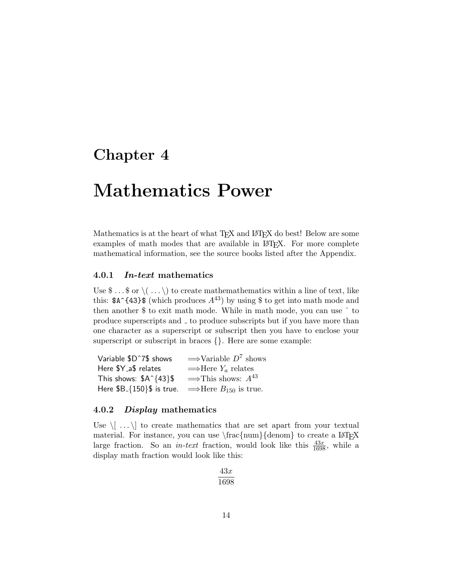# <span id="page-14-0"></span>Chapter 4

# Mathematics Power

Mathematics is at the heart of what T<sub>E</sub>X and L<sup>AT</sup>E<sub>X</sub> do best! Below are some examples of math modes that are available in LAT<sub>EX</sub>. For more complete mathematical information, see the source books listed after the Appendix.

### 4.0.1 In-text mathematics

Use  $\mathcal{S} \dots \mathcal{S}$  or  $\setminus (\dots \setminus)$  to create mathematics within a line of text, like this:  $\mathfrak{A}^{\dagger}$  (which produces  $A^{43}$ ) by using \$ to get into math mode and then another \$ to exit math mode. While in math mode, you can use ˆ to produce superscripts and  $\overline{\ }$  to produce subscripts but if you have more than one character as a superscript or subscript then you have to enclose your superscript or subscript in braces {}. Here are some example:

| Variable \$D^7\$ shows           | $\Rightarrow$ Variable $D^7$ shows    |
|----------------------------------|---------------------------------------|
| Here \$Y_a\$ relates             | $\Rightarrow$ Here $Y_a$ relates      |
| This shows: $A^{\dagger}$ {43}\$ | $\Rightarrow$ This shows: $A^{43}$    |
| Here $$B_{10}\$ § is true.       | $\Rightarrow$ Here $B_{150}$ is true. |

#### 4.0.2 Display mathematics

Use  $\langle \cdot | \dots \rangle$  to create mathematics that are set apart from your textual material. For instance, you can use  $\frac{num}{denom}$  to create a LAT<sub>E</sub>X large fraction. So an *in-text* fraction, would look like this  $\frac{43x}{1698}$ , while a display math fraction would look like this:

$$
\frac{43x}{1698}
$$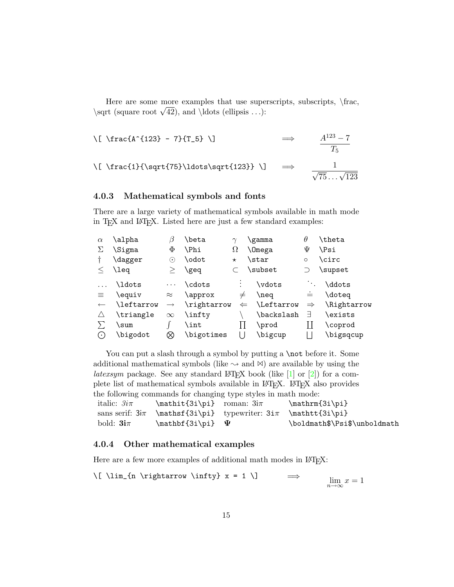Here are some more examples that use superscripts, subscripts,  $\frac{\frac{1}{\text{c}}}{\text{c}}$ There are some more examples that use supe<br>\sqrt (square root  $\sqrt{42}$ ), and \ldots (ellipsis ...):

$$
\begin{array}{ccc}\n\langle \text{fracA^{123} - 7}{T_5} \rangle & \Rightarrow & \frac{A^{123} - 7}{T_5} \\
\langle \text{frac11}\{\sqrt{75}\ldots\sqrt{123}\} \rangle & \Rightarrow & \frac{1}{\sqrt{75} \ldots \sqrt{123}}\n\end{array}
$$

### 4.0.3 Mathematical symbols and fonts

There are a large variety of mathematical symbols available in math mode in T<sub>E</sub>X and L<sup>AT</sup>E<sub>X</sub>. Listed here are just a few standard examples:

| $\alpha$      | \alpha     | ß                          | \beta       | $\gamma$     | \gamma        | $\theta$                    | \theta       |
|---------------|------------|----------------------------|-------------|--------------|---------------|-----------------------------|--------------|
| Σ             | \Sigma     | Φ                          | ∖Phi        | Ω            | <b>\Omega</b> | Ψ                           | \Psi         |
|               | \dagger    | $(\,\boldsymbol{\cdot}\,)$ | \odot       | $^\star$     | \star         | $\circ$                     | <b>\circ</b> |
|               | \leq       | >                          | \geq        |              | \subset       |                             | \supset      |
|               | \ldots     | $\ldots$                   | \cdots      | $\bullet$    | \vdots        | $\mathcal{F}_{\mathcal{A}}$ | \ddots       |
| 亖             | \equiv     | $\approx$                  | \approx     | $\neq$       | \neq          | ÷                           | \doteg       |
| $\leftarrow$  | \leftarrow | $\longrightarrow$          | \rightarrow | $\Leftarrow$ | Leftarrow     | $\Rightarrow$               | \Rightarrow  |
| $\triangle$   | \triangle  | $\infty$                   | \infty\     |              | \backslash    | Е                           | \exists      |
|               | \sum       |                            | \int        |              | \prod         |                             | \coprod      |
| $(\,\cdot\,)$ | \bigodot   | ⊗                          | \bigotimes  |              | \bigcup       |                             | \bigsqcup    |

You can put a slash through a symbol by putting a  $\not$ not before it. Some additional mathematical symbols (like  $\sim$  and  $\bowtie$ ) are available by using the *latexsym* package. See any standard LAT<sub>E</sub>X book (like  $[1]$  or  $[2]$ ) for a complete list of mathematical symbols available in LAT<sub>EX</sub>. LAT<sub>EX</sub> also provides the following commands for changing type styles in math mode:

| italic: $3i\pi$ | $\mathcal{3i\pi}$ roman: $3i\pi$                                      | $\mathfrak{3i\pi}$           |
|-----------------|-----------------------------------------------------------------------|------------------------------|
|                 | sans serif: $3i\pi$ \mathsf{3i\pi} typewriter: $3i\pi$ \mathtt{3i\pi} |                              |
| bold: $3i\pi$   | $\mathbb{3i\pi} \quad \Psi$                                           | \boldmath\$\Psi\$\unboldmath |

### 4.0.4 Other mathematical examples

Here are a few more examples of additional math modes in IATEX:

$$
\text{lim}_{n \rightarrow \infty} x = 1 \}
$$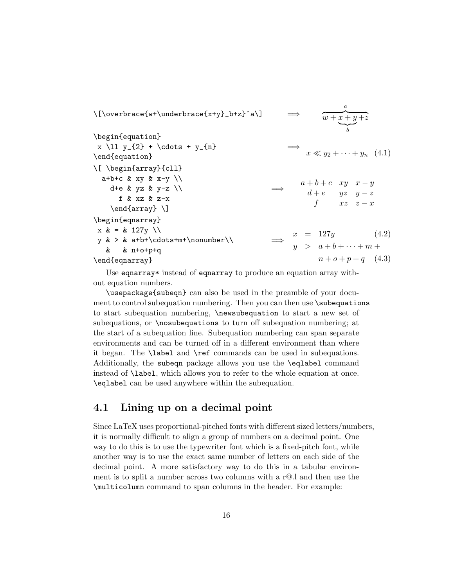\[\overbrace{w+\underbrace{x+y}\_b+z}^a\] =⇒ a  $\overline{w + x + y + z}$  $\sum_{b}$ b \begin{equation}  $x \ll 11$   $y_{2}$  + \cdots +  $y_{n}$ \end{equation} =⇒  $x \ll y_2 + \cdots + y_n \quad (4.1)$ \[ \begin{array}{cll} a+b+c & xy & x-y  $\setminus$ d+e & yz & y-z  $\setminus$ f & xz & z-x \end{array} \] =⇒  $a + b + c$  xy  $x - y$  $d+e$  yz  $y-z$ f  $xz \quad z-x$ \begin{eqnarray}  $x \& = \& 127y \ \setminus$  $y \> \& a+b+\cdot\cdot+m+\cdot\cdot\cdot\cdot\cdot$ & & n+o+p+q \end{eqnarray} =⇒  $x = 127y$  (4.2)  $y > a+b+\cdots+m+$  $n + o + p + q$  (4.3)

Use eqnarray\* instead of eqnarray to produce an equation array without equation numbers.

\usepackage{subeqn} can also be used in the preamble of your document to control subequation numbering. Then you can then use \subequations to start subequation numbering, \newsubequation to start a new set of subequations, or \nosubequations to turn off subequation numbering; at the start of a subequation line. Subequation numbering can span separate environments and can be turned off in a different environment than where it began. The \label and \ref commands can be used in subequations. Additionally, the subeqn package allows you use the \eqlabel command instead of \label, which allows you to refer to the whole equation at once. \eqlabel can be used anywhere within the subequation.

### <span id="page-16-0"></span>4.1 Lining up on a decimal point

Since LaTeX uses proportional-pitched fonts with different sized letters/numbers, it is normally difficult to align a group of numbers on a decimal point. One way to do this is to use the typewriter font which is a fixed-pitch font, while another way is to use the exact same number of letters on each side of the decimal point. A more satisfactory way to do this in a tabular environment is to split a number across two columns with a r@.l and then use the \multicolumn command to span columns in the header. For example: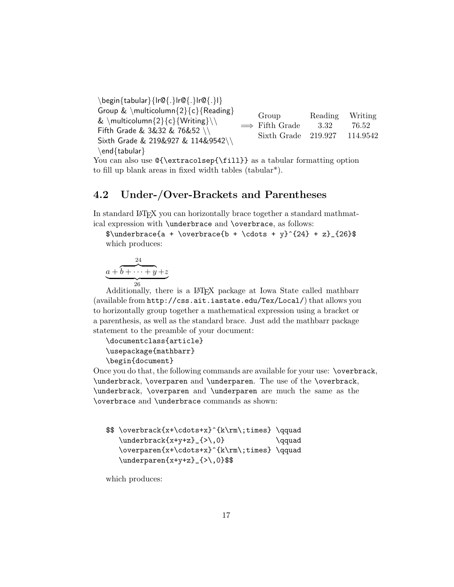\begin{tabular}{lr@{.}lr@{.}lr@{.}l} Group  $\& \mathcal{\Omega}{c}{\mathsf{Reading}}$ & \multicolumn ${2}{c}{Writing}\|\$ Fifth Grade & 3&32 & 76&52 \\ Sixth Grade & 219&927 & 114&9542\\ \end{tabular}  $\implies$  Fifth Grade 3.32 76.52 Group Reading Writing Sixth Grade 219.927 114.9542

You can also use  $\{\setminus\{fill}\}$  as a tabular formatting option to fill up blank areas in fixed width tables (tabular\*).

## <span id="page-17-0"></span>4.2 Under-/Over-Brackets and Parentheses

In standard LAT<sub>EX</sub> you can horizontally brace together a standard mathmatical expression with \underbrace and \overbrace, as follows:

 $\underbrace{a + \overbrace{b + \cdots + \gamma}^{24} + z}_{26}$ which produces:

$$
\underbrace{a+b+\cdots+y+z}_{26}
$$

26 Additionally, there is a LATEX package at Iowa State called mathbarr (available from http://css.ait.iastate.edu/Tex/Local/) that allows you to horizontally group together a mathematical expression using a bracket or a parenthesis, as well as the standard brace. Just add the mathbarr package statement to the preamble of your document:

```
\documentclass{article}
\usepackage{mathbarr}
\begin{document}
```
Once you do that, the following commands are available for your use: \overbrack, \underbrack, \overparen and \underparen. The use of the \overbrack, \underbrack, \overparen and \underparen are much the same as the \overbrace and \underbrace commands as shown:

```
$$ \overbrack{x+\cdots+x}^{k\rm\;times} \qquad
  \{\text{x+y+z}\_{\&0}\ \qquad
  \overparen{x+\cdots+x}^{k\rm\;times} \qquad
  \underparen{x+y+z}_{>\,0}$$
```
which produces: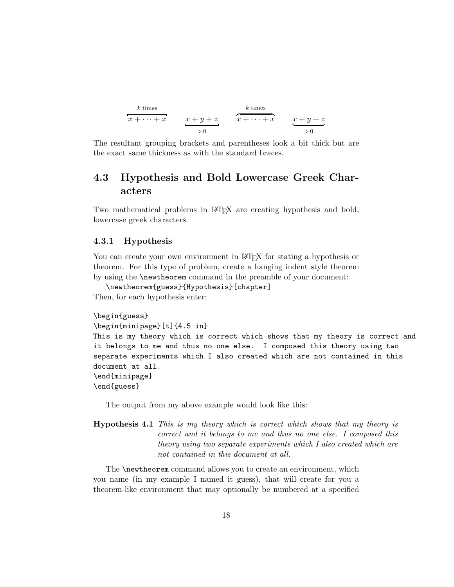| k times          | x + y + z   | k times          |             |
|------------------|-------------|------------------|-------------|
| $x + \cdots + x$ | $x + y + z$ | $x + \cdots + x$ | $x + y + z$ |
| $0$              | $0$         |                  |             |

The resultant grouping brackets and parentheses look a bit thick but are the exact same thickness as with the standard braces.

## <span id="page-18-0"></span>4.3 Hypothesis and Bold Lowercase Greek Characters

Two mathematical problems in LAT<sub>EX</sub> are creating hypothesis and bold, lowercase greek characters.

#### 4.3.1 Hypothesis

You can create your own environment in LAT<sub>EX</sub> for stating a hypothesis or theorem. For this type of problem, create a hanging indent style theorem by using the \newtheorem command in the preamble of your document:

```
\newtheorem{guess}{Hypothesis}[chapter]
Then, for each hypothesis enter:
```

```
\begin{guess}
\begin{minipage}[t]{4.5 in}
This is my theory which is correct which shows that my theory is correct and
it belongs to me and thus no one else. I composed this theory using two
separate experiments which I also created which are not contained in this
document at all.
\end{minipage}
\end{guess}
```
The output from my above example would look like this:

```
Hypothesis 4.1 This is my theory which is correct which shows that my theory is
                 correct and it belongs to me and thus no one else. I composed this
                 theory using two separate experiments which I also created which are
                 not contained in this document at all.
```
The **\newtheorem** command allows you to create an environment, which you name (in my example I named it guess), that will create for you a theorem-like environment that may optionally be numbered at a specified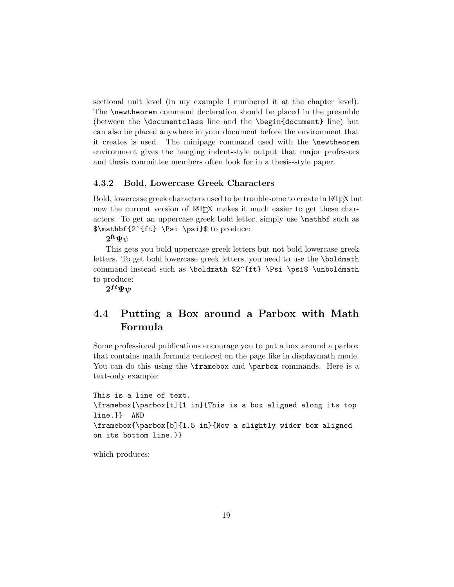sectional unit level (in my example I numbered it at the chapter level). The \newtheorem command declaration should be placed in the preamble (between the \documentclass line and the \begin{document} line) but can also be placed anywhere in your document before the environment that it creates is used. The minipage command used with the \newtheorem environment gives the hanging indent-style output that major professors and thesis committee members often look for in a thesis-style paper.

### 4.3.2 Bold, Lowercase Greek Characters

Bold, lowercase greek characters used to be troublesome to create in LATEX but now the current version of LAT<sub>EX</sub> makes it much easier to get these characters. To get an uppercase greek bold letter, simply use \mathbf such as \$\mathbf{2^{ft} \Psi \psi}\$ to produce:

 $\mathbf{2}^{\mathbf{ft}}\mathbf{\Psi}\psi$ 

This gets you bold uppercase greek letters but not bold lowercase greek letters. To get bold lowercase greek letters, you need to use the \boldmath command instead such as \boldmath \$2^{ft} \Psi \psi\$ \unboldmath to produce:

 $2^{ft}\Psi\psi$ 

## <span id="page-19-0"></span>4.4 Putting a Box around a Parbox with Math Formula

Some professional publications encourage you to put a box around a parbox that contains math formula centered on the page like in displaymath mode. You can do this using the **\framebox** and **\parbox** commands. Here is a text-only example:

```
This is a line of text.
\framebox{\parbox[t]{1 in}{This is a box aligned along its top
line.}} AND
\framebox{\parbox[b]{1.5 in}{Now a slightly wider box aligned
on its bottom line.}}
```
which produces: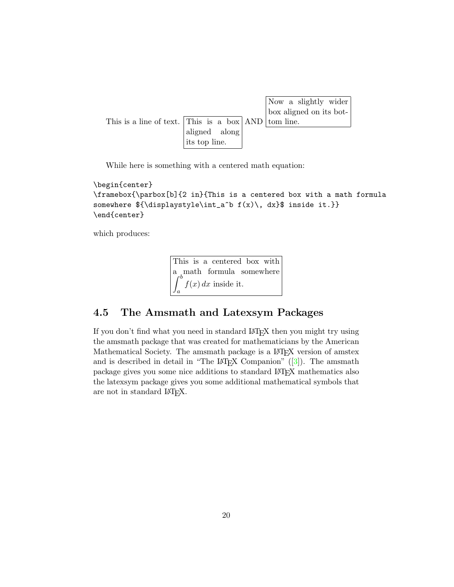|                                                         |                                                                                       |  | Now a slightly wider<br>box aligned on its bot- |
|---------------------------------------------------------|---------------------------------------------------------------------------------------|--|-------------------------------------------------|
| This is a line of text. This is a box $ AND $ tom line. |                                                                                       |  |                                                 |
|                                                         | $\begin{vmatrix} \text{aligned} & \text{along} \\ \text{its top line.} \end{vmatrix}$ |  |                                                 |
|                                                         |                                                                                       |  |                                                 |

While here is something with a centered math equation:

```
\begin{center}
\framebox{\parbox[b]{2 in}{This is a centered box with a math formula
somewhere ${\displaystyle\int_a^b f(x)\, dx}$ inside it.}}
\end{center}
```
which produces:

This is a centered box with a math formula somewhere  $\int^b$ a  $f(x) dx$  inside it.

## <span id="page-20-0"></span>4.5 The Amsmath and Latexsym Packages

If you don't find what you need in standard LAT<sub>EX</sub> then you might try using the amsmath package that was created for mathematicians by the American Mathematical Society. The amsmath package is a L<sup>AT</sup>FX version of amstex and is described in detail in "The L<sup>AT</sup>EX Companion"  $(3)$ ). The amsmath package gives you some nice additions to standard LATEX mathematics also the latexsym package gives you some additional mathematical symbols that are not in standard LATEX.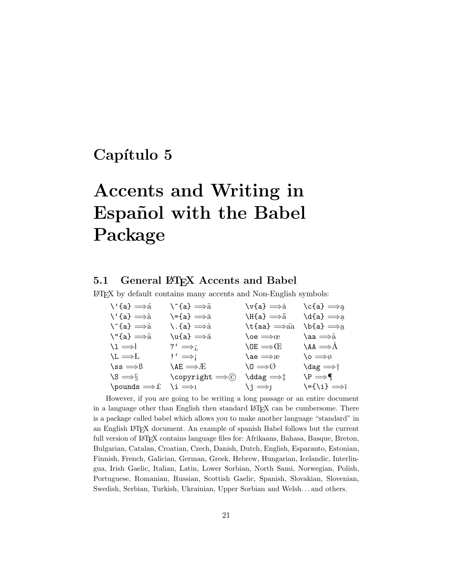# <span id="page-21-0"></span>Capítulo 5

# Accents and Writing in Español with the Babel Package

## <span id="page-21-1"></span>5.1 General LATEX Accents and Babel

LATEX by default contains many accents and Non-English symbols:

| $\vee$ {a} $\Longrightarrow$ á              | \~̃{a} ⇒ã                                                    | \v{a} ⇒ă                              | $\setminus c\{a\} \Longrightarrow a$                |
|---------------------------------------------|--------------------------------------------------------------|---------------------------------------|-----------------------------------------------------|
| $\setminus \{a\} \Longrightarrow a$         | $\setminus$ ={a} $\Longrightarrow$ ā                         | \H{a} ⇒ä                              | $\delta$ \d{a} $\Longrightarrow$ a                  |
| $\setminus$ {a} $\Longrightarrow$ $\hat{a}$ | \.{a} $\Longrightarrow$ à                                    | $\text{t}$ {aa} $\Longrightarrow$ aa  | $\mathbf{b}\mathbf{a} \Longrightarrow_{\mathbf{a}}$ |
| $\Upsilon$ ''{a} $\Longrightarrow$ ä        | $\mathcal{u}\{\mathsf{a}\}\Longrightarrow\check{\mathsf{a}}$ | $\lambda$ oe $\Longrightarrow$ œ      | \aa ⇒å                                              |
| $\lambda_1 \Longrightarrow$                 | ?' $\Rightarrow$                                             | $OE \implies \times$                  | $\lambda A \Longrightarrow A$                       |
| $\mathcal{L} \Longrightarrow L$             | $!\Gamma$ $\Longrightarrow$ i                                | $\lambda$ ae $\Longrightarrow$ æ      | \o $\Longrightarrow$ $\emptyset$                    |
| $\text{ss} \Longrightarrow \beta$           | $\lambda$ ae $\Longrightarrow$ Æ                             | $\setminus 0 \Longrightarrow \oslash$ | \dag $\Longrightarrow$ †                            |
| $\mathcal{S} \Longrightarrow \S$            | \copyright $\Longrightarrow$ $\odot$                         | $\delta$ \ddag =>1                    | $\P \implies \P$                                    |
| \pounds $\Longrightarrow$ £                 | $\lambda$ i $\Longrightarrow$ l                              | $\iota_j \Longrightarrow_l$           | $\setminus$ ={ $\setminus$ i} $\Longrightarrow$ ī   |

However, if you are going to be writing a long passage or an entire document in a language other than English then standard LAT<sub>EX</sub> can be cumbersome. There is a package called babel which allows you to make another language "standard" in an English LATEX document. An example of spanish Babel follows but the current full version of LATEX contains language files for: Afrikaans, Bahasa, Basque, Breton, Bulgarian, Catalan, Croatian, Czech, Danish, Dutch, English, Esparanto, Estonian, Finnish, French, Galician, German, Greek, Hebrew, Hungarian, Icelandic, Interlingua, Irish Gaelic, Italian, Latin, Lower Sorbian, North Sami, Norwegian, Polish, Portuguese, Romanian, Russian, Scottish Gaelic, Spanish, Slovakian, Slovenian, Swedish, Serbian, Turkish, Ukrainian, Upper Sorbian and Welsh. . . and others.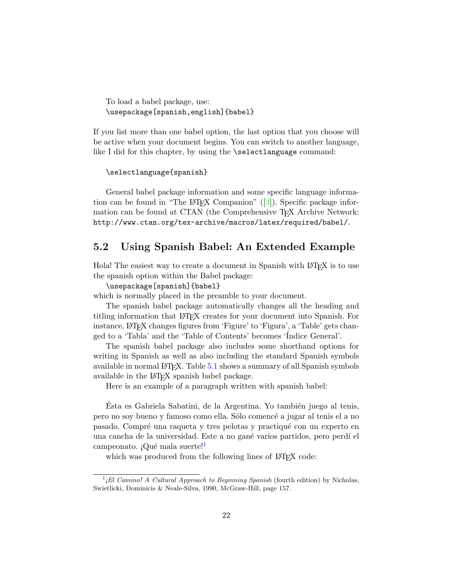To load a babel package, use: \usepackage[spanish,english]{babel}

If you list more than one babel option, the last option that you choose will be active when your document begins. You can switch to another language, like I did for this chapter, by using the **\selectlanguage** command:

```
\selectlanguage{spanish}
```
General babel package information and some specific language information can be found in "The LAT<sub>EX</sub> Companion"  $(3)$ ). Specific package information can be found at CTAN (the Comprehensive T<sub>E</sub>X Archive Network: http://www.ctan.org/tex-archive/macros/latex/required/babel/.

### <span id="page-22-0"></span>5.2 Using Spanish Babel: An Extended Example

Hola! The easiest way to create a document in Spanish with LAT<sub>EX</sub> is to use the spanish option within the Babel package:

### \usepackage[spanish]{babel}

which is normally placed in the preamble to your document.

The spanish babel package automatically changes all the heading and titling information that LATEX creates for your document into Spanish. For instance, LATEX changes figures from 'Figure' to 'Figura', a 'Table' gets changed to a 'Tabla' and the 'Table of Contents' becomes 'Índice General'.

The spanish babel package also includes some shorthand options for writing in Spanish as well as also including the standard Spanish symbols available in normal LAT<sub>E</sub>X. Table [5.1](#page-23-0) shows a summary of all Spanish symbols available in the LATEX spanish babel package.

Here is an example of a paragraph written with spanish babel:

Esta es Gabriela Sabatini, de la Argentina. Yo también juego al tenis, pero no soy bueno y famoso como ella. Sólo comencé a jugar al tenis el a no pasado. Compré una raqueta y tres pelotas y practiqué con un experto en una cancha de la universidad. Este a no gané varios partidos, pero perdí el campeonato. ¡Qué mala suerte!<sup>[1](#page-22-1)</sup>

which was produced from the following lines of LAT<sub>EX</sub> code:

<span id="page-22-1"></span> $<sup>1</sup>$ <sub>i</sub>El Camino! A Cultural Approach to Beginning Spanish (fourth edition) by Nicholas,</sup> Swietlicki, Dominicis & Neale-Silva, 1990, McGraw-Hill, page 157.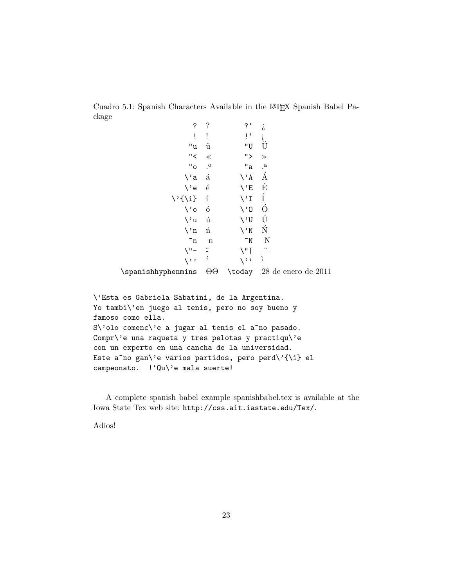Cuadro 5.1: Spanish Characters Available in the LATEX Spanish Babel Package

<span id="page-23-0"></span>

| ?                 | $\ddot{?}$           | ، ?                        | i,                   |
|-------------------|----------------------|----------------------------|----------------------|
| Ĩ                 | İ                    | i,                         | i<br>Ü               |
| "u                | ü                    | "U                         |                      |
| "                 | $\ll$                | ">                         | $>\!\!>\!\!$         |
| "o                | $\cdot^{\circ}$      | "a                         | $\cdot^{\mathrm{a}}$ |
| $\setminus a$     | $\acute{\mathrm{a}}$ | $\setminus A$              | Á                    |
| \'e               | $\acute{\text{e}}$   | $\setminus$ 'E             | É                    |
| \'{\i}            | í                    | $\setminus \mathbb{I}$     | Í                    |
| $\backslash$ 'o   | ó                    | $\setminus 0$              | Ó                    |
| \'u               | ú                    | $\setminus$ <sup>'</sup> U | Ú                    |
| $\setminus n$     | ń                    | $\setminus$ 'N             | Ń                    |
| ~n                | $\mathbf n$          | $\sim_{\text{N}}$          | $\mathbf N$          |
| $\sqrt{2}$        |                      | $\vee$ "                   | $\cdot$              |
| $\langle \; , \;$ | $\acute{\text{ }}$   | <b>\cc</b>                 | ì                    |

\spanishhyphenmins ΘΘ \today 28 de enero de 2011

```
\'Esta es Gabriela Sabatini, de la Argentina.
Yo tambi\'en juego al tenis, pero no soy bueno y
famoso como ella.
S\'olo comenc\'e a jugar al tenis el a~no pasado.
Compr\'e una raqueta y tres pelotas y practiqu\'e
con un experto en una cancha de la universidad.
Este a~no gan\'e varios partidos, pero perd\'{\i} el
campeonato. !'Qu\'e mala suerte!
```
A complete spanish babel example spanishbabel.tex is available at the Iowa State Tex web site: http://css.ait.iastate.edu/Tex/.

Adios!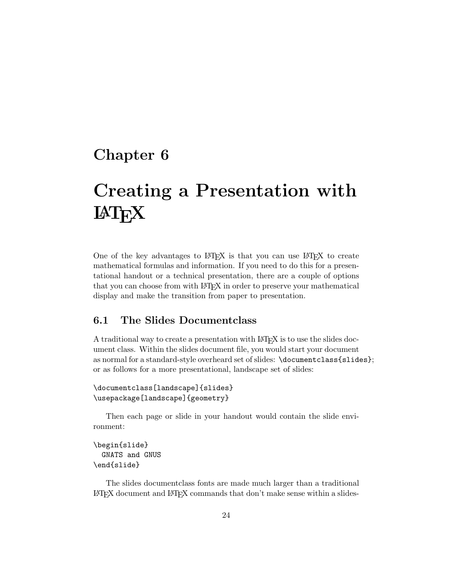# <span id="page-24-0"></span>Chapter 6

# Creating a Presentation with **LAT<sub>F</sub>X**

One of the key advantages to LAT<sub>EX</sub> is that you can use LAT<sub>EX</sub> to create mathematical formulas and information. If you need to do this for a presentational handout or a technical presentation, there are a couple of options that you can choose from with LAT<sub>EX</sub> in order to preserve your mathematical display and make the transition from paper to presentation.

## <span id="page-24-1"></span>6.1 The Slides Documentclass

A traditional way to create a presentation with LAT<sub>E</sub>X is to use the slides document class. Within the slides document file, you would start your document as normal for a standard-style overheard set of slides: \documentclass{slides}; or as follows for a more presentational, landscape set of slides:

```
\documentclass[landscape]{slides}
\usepackage[landscape]{geometry}
```
Then each page or slide in your handout would contain the slide environment:

```
\begin{slide}
  GNATS and GNUS
\end{slide}
```
The slides documentclass fonts are made much larger than a traditional LATEX document and LATEX commands that don't make sense within a slides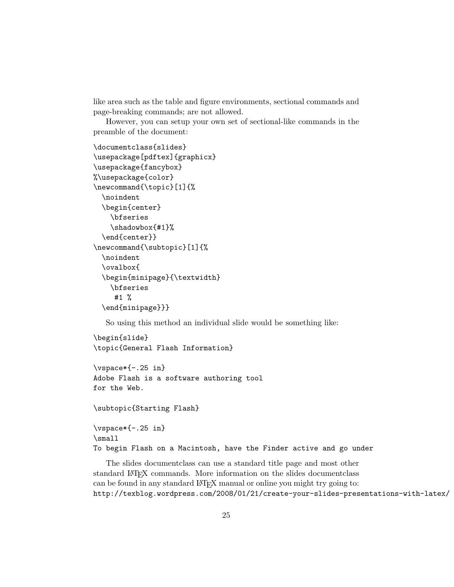like area such as the table and figure environments, sectional commands and page-breaking commands; are not allowed.

However, you can setup your own set of sectional-like commands in the preamble of the document:

```
\documentclass{slides}
\usepackage[pdftex]{graphicx}
\usepackage{fancybox}
%\usepackage{color}
\newcommand{\topic}[1]{%
  \noindent
  \begin{center}
    \bfseries
    \shadowbox{#1}%
  \end{center}}
\newcommand{\subtopic}[1]{%
  \noindent
  \ovalbox{
  \begin{minipage}{\textwidth}
    \bfseries
     #1 %
  \end{minipage}}}
```
So using this method an individual slide would be something like:

\begin{slide} \topic{General Flash Information}

\vspace\*{-.25 in} Adobe Flash is a software authoring tool for the Web.

\subtopic{Starting Flash}

```
\vspace*{-.25 in}
\small
To begin Flash on a Macintosh, have the Finder active and go under
```
The slides documentclass can use a standard title page and most other standard LATEX commands. More information on the slides documentclass can be found in any standard LAT<sub>EX</sub> manual or online you might try going to: http://texblog.wordpress.com/2008/01/21/create-your-slides-presentations-with-latex/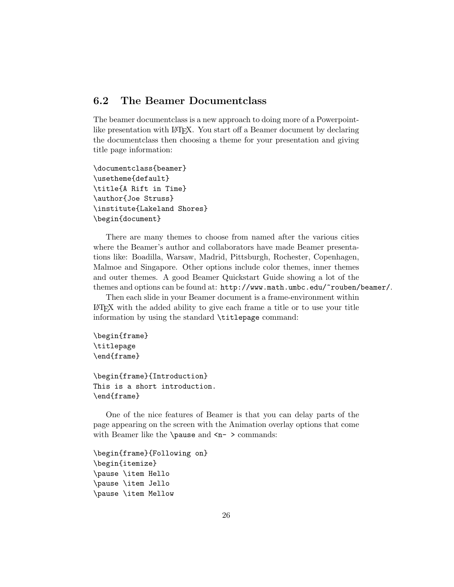### <span id="page-26-0"></span>6.2 The Beamer Documentclass

The beamer documentclass is a new approach to doing more of a Powerpointlike presentation with LAT<sub>EX</sub>. You start off a Beamer document by declaring the documentclass then choosing a theme for your presentation and giving title page information:

```
\documentclass{beamer}
\usetheme{default}
\title{A Rift in Time}
\author{Joe Struss}
\institute{Lakeland Shores}
\begin{document}
```
There are many themes to choose from named after the various cities where the Beamer's author and collaborators have made Beamer presentations like: Boadilla, Warsaw, Madrid, Pittsburgh, Rochester, Copenhagen, Malmoe and Singapore. Other options include color themes, inner themes and outer themes. A good Beamer Quickstart Guide showing a lot of the themes and options can be found at: http://www.math.umbc.edu/~rouben/beamer/.

Then each slide in your Beamer document is a frame-environment within LATEX with the added ability to give each frame a title or to use your title information by using the standard \titlepage command:

```
\begin{frame}
\titlepage
\end{frame}
```

```
\begin{frame}{Introduction}
This is a short introduction.
\end{frame}
```
One of the nice features of Beamer is that you can delay parts of the page appearing on the screen with the Animation overlay options that come with Beamer like the \pause and  $\mathsf{<}n$  > commands:

```
\begin{frame}{Following on}
\begin{itemize}
\pause \item Hello
\pause \item Jello
\pause \item Mellow
```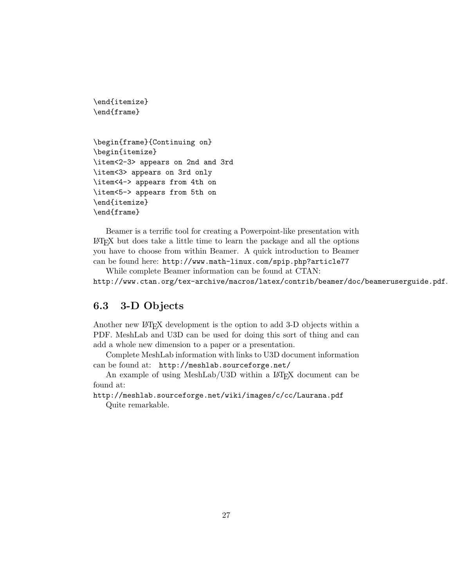```
\end{itemize}
\end{frame}
\begin{frame}{Continuing on}
\begin{itemize}
\item<2-3> appears on 2nd and 3rd
\item<3> appears on 3rd only
\item<4-> appears from 4th on
\item<5-> appears from 5th on
\end{itemize}
\end{frame}
```
Beamer is a terrific tool for creating a Powerpoint-like presentation with LATEX but does take a little time to learn the package and all the options you have to choose from within Beamer. A quick introduction to Beamer can be found here: http://www.math-linux.com/spip.php?article77

While complete Beamer information can be found at CTAN: http://www.ctan.org/tex-archive/macros/latex/contrib/beamer/doc/beameruserguide.pdf.

## <span id="page-27-0"></span>6.3 3-D Objects

Another new LATEX development is the option to add 3-D objects within a PDF. MeshLab and U3D can be used for doing this sort of thing and can add a whole new dimension to a paper or a presentation.

Complete MeshLab information with links to U3D document information can be found at: http://meshlab.sourceforge.net/

An example of using MeshLab/U3D within a L<sup>AT</sup>EX document can be found at:

http://meshlab.sourceforge.net/wiki/images/c/cc/Laurana.pdf Quite remarkable.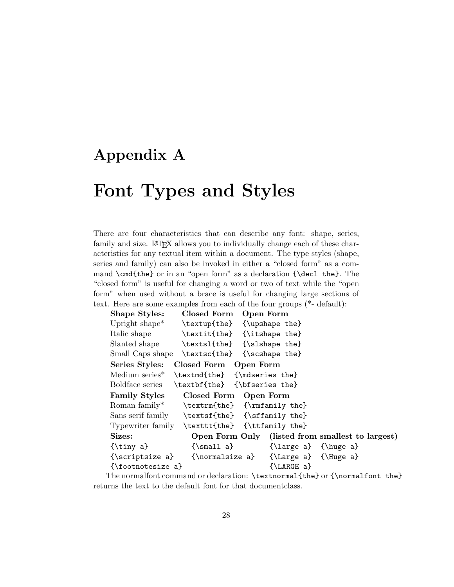# <span id="page-28-0"></span>Appendix A

# Font Types and Styles

There are four characteristics that can describe any font: shape, series, family and size. LAT<sub>EX</sub> allows you to individually change each of these characteristics for any textual item within a document. The type styles (shape, series and family) can also be invoked in either a "closed form" as a command \cmd{the} or in an "open form" as a declaration {\decl the}. The "closed form" is useful for changing a word or two of text while the "open form" when used without a brace is useful for changing large sections of text. Here are some examples from each of the four groups (\*- default):

| <b>Shape Styles:</b>       | Closed Form                                  | Open Form                                        |  |
|----------------------------|----------------------------------------------|--------------------------------------------------|--|
| Upright shape <sup>*</sup> |                                              | \textup{the} {\upshape the}                      |  |
| Italic shape               |                                              | \textit{the} {\itshape the}                      |  |
| Slanted shape              | \textsl{the}                                 | {\slshape the}                                   |  |
| Small Caps shape           | \textsc{the}                                 | {\scshape the}                                   |  |
| Series Styles:             | Closed Form                                  | Open Form                                        |  |
| Medium series <sup>*</sup> | \textmd{the} {\mdseries the}                 |                                                  |  |
|                            | Boldface series \textbf{the} {\bfseries the} |                                                  |  |
| <b>Family Styles</b>       | Closed Form Open Form                        |                                                  |  |
| Roman family*              |                                              | \textrm{the} {\rmfamily the}                     |  |
| Sans serif family          |                                              | \textsf{the} {\sffamily the}                     |  |
| Typewriter family          |                                              | \texttt{the} {\ttfamily the}                     |  |
| Sizes:                     |                                              | Open Form Only (listed from smallest to largest) |  |
|                            | $\{\mathrm{small}\}$                         | $\{\langle a\} \ \{\langle b\rangle\}$           |  |
| {\scriptsize a}            | $\{\normalsize a\}$                          | $\{\text{Large } a\}$ $\{\text{Huge } a\}$       |  |
| {\footnotesize a}          |                                              | $\{\LARGE a\}$                                   |  |
| $\sim$                     |                                              |                                                  |  |

The normalfont command or declaration: \textnormal{the} or {\normalfont the} returns the text to the default font for that documentclass.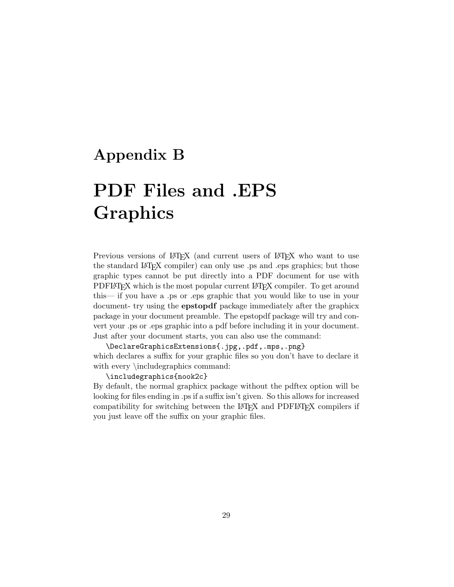# <span id="page-29-0"></span>Appendix B

# PDF Files and .EPS Graphics

Previous versions of LAT<sub>EX</sub> (and current users of LAT<sub>EX</sub> who want to use the standard LATEX compiler) can only use .ps and .eps graphics; but those graphic types cannot be put directly into a PDF document for use with PDFLAT<sub>EX</sub> which is the most popular current LAT<sub>EX</sub> compiler. To get around this— if you have a .ps or .eps graphic that you would like to use in your document- try using the epstopdf package immediately after the graphicx package in your document preamble. The epstopdf package will try and convert your .ps or .eps graphic into a pdf before including it in your document. Just after your document starts, you can also use the command:

\DeclareGraphicsExtensions{.jpg,.pdf,.mps,.png} which declares a suffix for your graphic files so you don't have to declare it with every \includegraphics command:

### \includegraphics{nook2c}

By default, the normal graphicx package without the pdftex option will be looking for files ending in .ps if a suffix isn't given. So this allows for increased compatibility for switching between the LAT<sub>E</sub>X and PDFLAT<sub>E</sub>X compilers if you just leave off the suffix on your graphic files.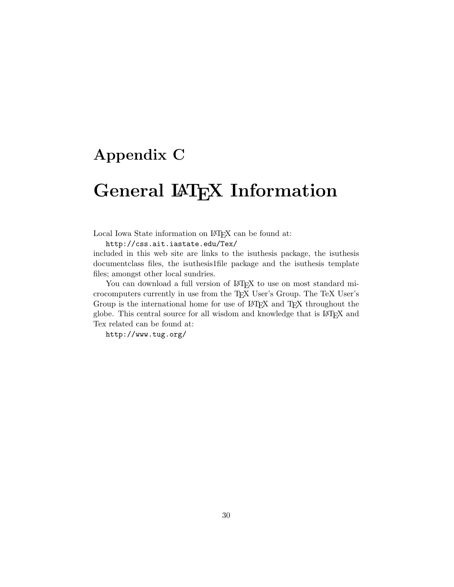# <span id="page-30-0"></span>Appendix C

# General LAT<sub>E</sub>X Information

#### Local Iowa State information on LAT<sub>EX</sub> can be found at:

http://css.ait.iastate.edu/Tex/

included in this web site are links to the isuthesis package, the isuthesis documentclass files, the isuthesis1file package and the isuthesis template files; amongst other local sundries.

You can download a full version of LAT<sub>EX</sub> to use on most standard microcomputers currently in use from the TEX User's Group. The TeX User's Group is the international home for use of LAT<sub>EX</sub> and T<sub>EX</sub> throughout the globe. This central source for all wisdom and knowledge that is LATEX and Tex related can be found at:

http://www.tug.org/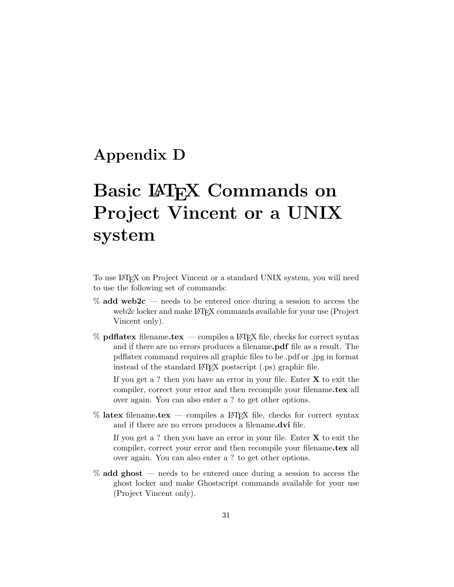# <span id="page-31-0"></span>Appendix D

# Basic LAT<sub>EX</sub> Commands on Project Vincent or a UNIX system

To use LATEX on Project Vincent or a standard UNIX system, you will need to use the following set of commands:

- $%$  add web2c needs to be entered once during a session to access the web2c locker and make LAT<sub>EX</sub> commands available for your use (Project Vincent only).
- $%$  pdflatex filename.tex compiles a LAT<sub>E</sub>X file, checks for correct syntax and if there are no errors produces a filename.pdf file as a result. The pdflatex command requires all graphic files to be .pdf or .jpg in format instead of the standard LAT<sub>EX</sub> postscript (.ps) graphic file.

If you get a ? then you have an error in your file. Enter  $X$  to exit the compiler, correct your error and then recompile your filename.tex all over again. You can also enter a ? to get other options.

 $%$  latex filename.tex — compiles a  $\mathbb{F}$ F<sub>E</sub>X file, checks for correct syntax and if there are no errors produces a filename.dvi file.

If you get a ? then you have an error in your file. Enter  $X$  to exit the compiler, correct your error and then recompile your filename.tex all over again. You can also enter a ? to get other options.

 $%$  add ghost — needs to be entered once during a session to access the ghost locker and make Ghostscript commands available for your use (Project Vincent only).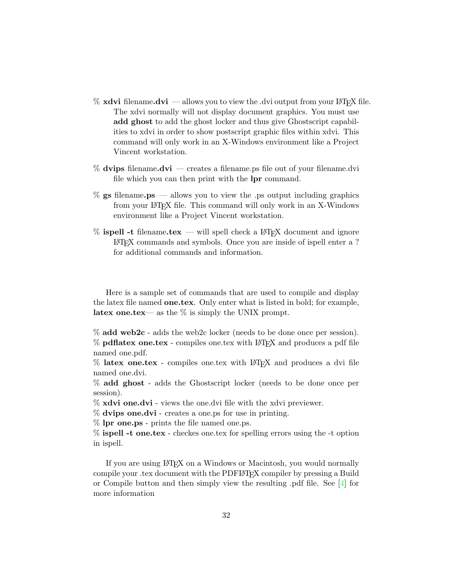- $\%$  xdvi filename.dvi allows you to view the .dvi output from your LAT<sub>E</sub>X file. The xdvi normally will not display document graphics. You must use add ghost to add the ghost locker and thus give Ghostscript capabilities to xdvi in order to show postscript graphic files within xdvi. This command will only work in an X-Windows environment like a Project Vincent workstation.
- $%$  dvips filename.dvi creates a filename.ps file out of your filename.dvi file which you can then print with the lpr command.
- $\%$  gs filename.ps allows you to view the .ps output including graphics from your LATEX file. This command will only work in an X-Windows environment like a Project Vincent workstation.
- $%$  ispell -t filename.tex will spell check a LAT<sub>EX</sub> document and ignore LATEX commands and symbols. Once you are inside of ispell enter a ? for additional commands and information.

Here is a sample set of commands that are used to compile and display the latex file named **one.tex**. Only enter what is listed in bold; for example, latex one.tex— as the  $\%$  is simply the UNIX prompt.

% add web2c - adds the web2c locker (needs to be done once per session).  $%$  pdflatex one.tex - compiles one.tex with LAT<sub>E</sub>X and produces a pdf file named one.pdf.

% latex one.tex - compiles one.tex with LATEX and produces a dvi file named one.dvi.

% add ghost - adds the Ghostscript locker (needs to be done once per session).

- % xdvi one.dvi views the one.dvi file with the xdvi previewer.
- % dvips one.dvi creates a one.ps for use in printing.
- % lpr one.ps prints the file named one.ps.
- % ispell -t one.tex checkes one.tex for spelling errors using the -t option in ispell.

If you are using LATEX on a Windows or Macintosh, you would normally compile your .tex document with the PDFLATEX compiler by pressing a Build or Compile button and then simply view the resulting .pdf file. See [\[4\]](#page-33-1) for more information